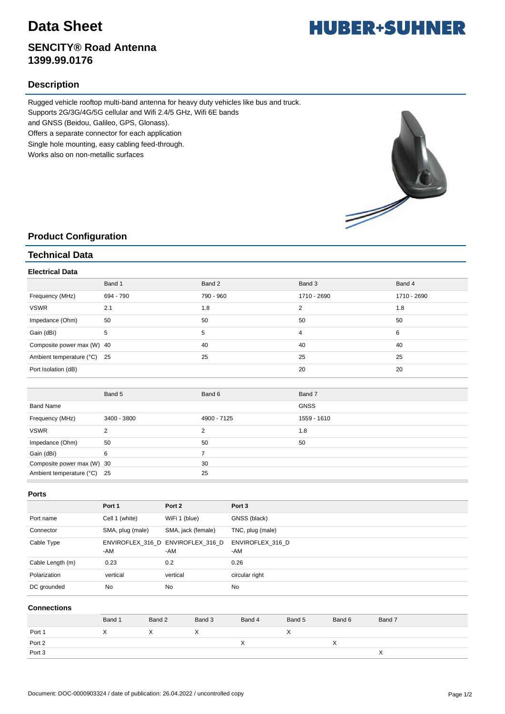## **Data Sheet**

## **SENCITY® Road Antenna 1399.99.0176**

## **Description**

Rugged vehicle rooftop multi-band antenna for heavy duty vehicles like bus and truck.

Supports 2G/3G/4G/5G cellular and Wifi 2.4/5 GHz, Wifi 6E bands

and GNSS (Beidou, Galileo, GPS, Glonass).

Offers a separate connector for each application

Single hole mounting, easy cabling feed-through.

Works also on non-metallic surfaces



### **Product Configuration**

### **Technical Data**

#### **Electrical Data**

|                             | Band 1    | Band 2    | Band 3         | Band 4      |
|-----------------------------|-----------|-----------|----------------|-------------|
| Frequency (MHz)             | 694 - 790 | 790 - 960 | 1710 - 2690    | 1710 - 2690 |
| <b>VSWR</b>                 | 2.1       | 1.8       | 2              | 1.8         |
| Impedance (Ohm)             | 50        | 50        | 50             | 50          |
| Gain (dBi)                  | 5         | 5         | $\overline{4}$ | 6           |
| Composite power max (W) 40  |           | 40        | 40             | 40          |
| Ambient temperature (°C) 25 |           | 25        | 25             | 25          |
| Port Isolation (dB)         |           |           | 20             | 20          |

|                             | Band 5      | Band 6      | Band 7      |
|-----------------------------|-------------|-------------|-------------|
| Band Name                   |             |             | <b>GNSS</b> |
| Frequency (MHz)             | 3400 - 3800 | 4900 - 7125 | 1559 - 1610 |
| <b>VSWR</b>                 |             |             | 1.8         |
| Impedance (Ohm)             | 50          | 50          | 50          |
| Gain (dBi)                  | 6           |             |             |
| Composite power max (W) 30  |             | 30          |             |
| Ambient temperature (°C) 25 |             | 25          |             |

#### **Ports**

|                  | Port 1           | Port 2                                   | Port 3                  |
|------------------|------------------|------------------------------------------|-------------------------|
|                  |                  |                                          |                         |
| Port name        | Cell 1 (white)   | WiFi 1 (blue)                            | GNSS (black)            |
| Connector        | SMA, plug (male) | SMA, jack (female)                       | TNC, plug (male)        |
| Cable Type       | -AM              | ENVIROFLEX 316 D ENVIROFLEX 316 D<br>-AM | ENVIROFLEX 316 D<br>-AM |
| Cable Length (m) | 0.23             | 0.2                                      | 0.26                    |
| Polarization     | vertical         | vertical                                 | circular right          |
| DC grounded      | <b>No</b>        | <b>No</b>                                | <b>No</b>               |

#### **Connections**

|        | Band 1 | Band 2 | Band 3 | Band 4 | Band 5    | Band 6    | Band 7 |
|--------|--------|--------|--------|--------|-----------|-----------|--------|
| Port 1 |        |        |        |        | $\lambda$ |           |        |
| Port 2 |        |        |        |        |           | $\lambda$ |        |
| Port 3 |        |        |        |        |           |           |        |

# **HUBER+SUHNER**